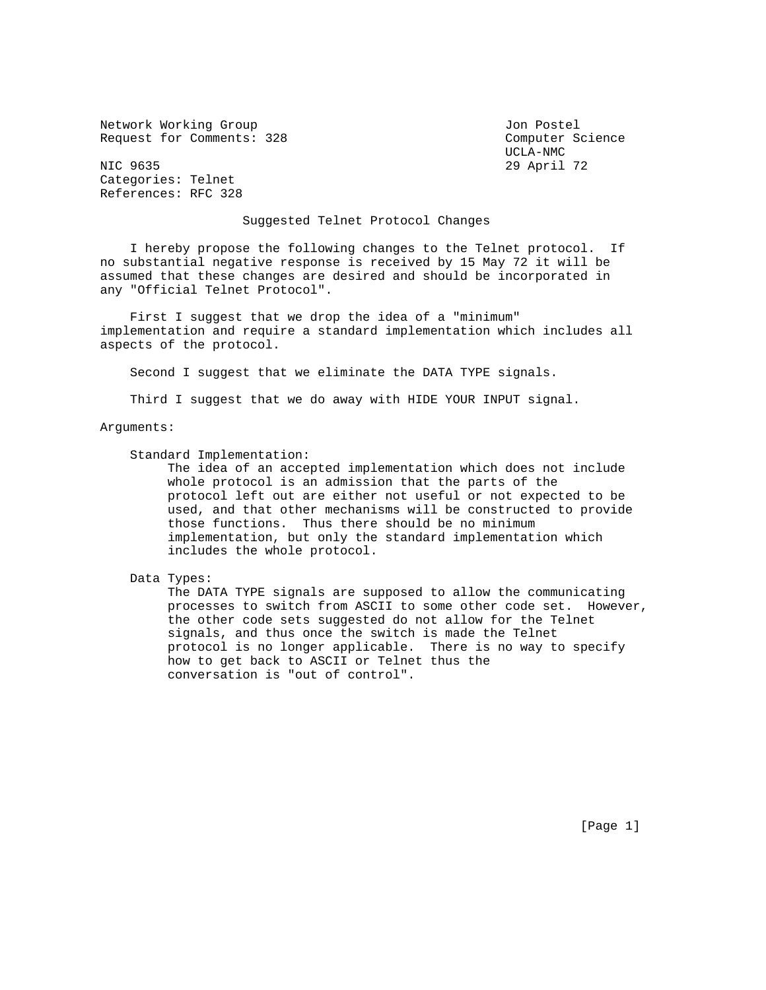Network Working Group Jon Postel Request for Comments: 328 Computer Science

 UCLA-NMC 29 April 72

Categories: Telnet References: RFC 328

## Suggested Telnet Protocol Changes

 I hereby propose the following changes to the Telnet protocol. If no substantial negative response is received by 15 May 72 it will be assumed that these changes are desired and should be incorporated in any "Official Telnet Protocol".

 First I suggest that we drop the idea of a "minimum" implementation and require a standard implementation which includes all aspects of the protocol.

Second I suggest that we eliminate the DATA TYPE signals.

Third I suggest that we do away with HIDE YOUR INPUT signal.

Arguments:

Standard Implementation:

 The idea of an accepted implementation which does not include whole protocol is an admission that the parts of the protocol left out are either not useful or not expected to be used, and that other mechanisms will be constructed to provide those functions. Thus there should be no minimum implementation, but only the standard implementation which includes the whole protocol.

Data Types:

 The DATA TYPE signals are supposed to allow the communicating processes to switch from ASCII to some other code set. However, the other code sets suggested do not allow for the Telnet signals, and thus once the switch is made the Telnet protocol is no longer applicable. There is no way to specify how to get back to ASCII or Telnet thus the conversation is "out of control".

[Page 1]